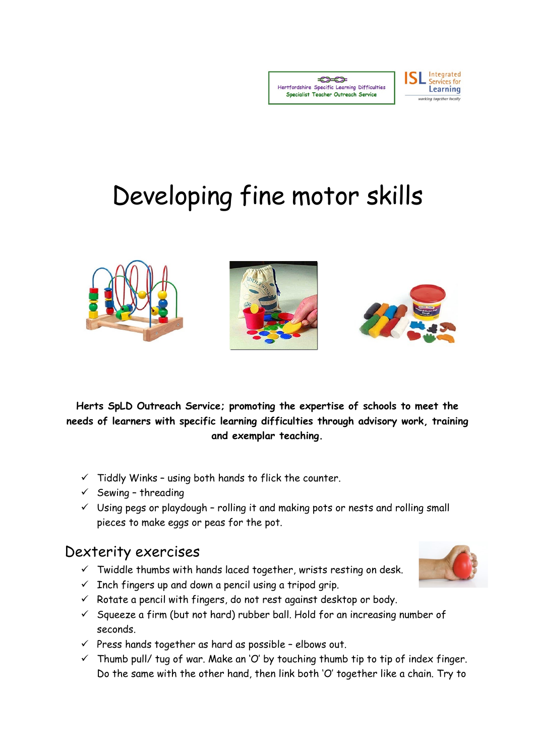$77$ Hertfordshire Specific Learning Difficulties Specialist Teacher Outreach Service

**SL** Integrated

Learning





**Herts SpLD Outreach Service; promoting the expertise of schools to meet the needs of learners with specific learning difficulties through advisory work, training and exemplar teaching.**

- $\checkmark$  Tiddly Winks using both hands to flick the counter.
- $\checkmark$  Sewing threading
- $\checkmark$  Using pegs or playdough rolling it and making pots or nests and rolling small pieces to make eggs or peas for the pot.

## Dexterity exercises

- $\checkmark$  Twiddle thumbs with hands laced together, wrists resting on desk.
- $\checkmark$  Inch fingers up and down a pencil using a tripod grip.
- $\checkmark$  Rotate a pencil with fingers, do not rest against desktop or body.
- $\checkmark$  Squeeze a firm (but not hard) rubber ball. Hold for an increasing number of seconds.
- $\checkmark$  Press hands together as hard as possible elbows out.
- $\checkmark$  Thumb pull/ tug of war. Make an 'O' by touching thumb tip to tip of index finger. Do the same with the other hand, then link both 'O' together like a chain. Try to

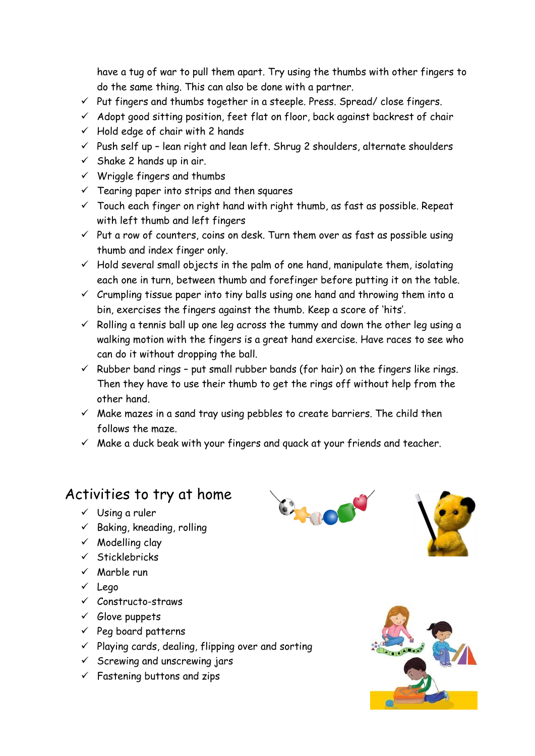have a tug of war to pull them apart. Try using the thumbs with other fingers to do the same thing. This can also be done with a partner.

- $\checkmark$  Put fingers and thumbs together in a steeple. Press. Spread/ close fingers.
- $\checkmark$  Adopt good sitting position, feet flat on floor, back against backrest of chair
- $\checkmark$  Hold edge of chair with 2 hands
- $\checkmark$  Push self up lean right and lean left. Shrug 2 shoulders, alternate shoulders
- $\checkmark$  Shake 2 hands up in air.
- $\checkmark$  Wriggle fingers and thumbs
- $\checkmark$  Tearing paper into strips and then squares
- $\checkmark$  Touch each finger on right hand with right thumb, as fast as possible. Repeat with left thumb and left fingers
- $\checkmark$  Put a row of counters, coins on desk. Turn them over as fast as possible using thumb and index finger only.
- $\checkmark$  Hold several small objects in the palm of one hand, manipulate them, isolating each one in turn, between thumb and forefinger before putting it on the table.
- $\checkmark$  Crumpling tissue paper into tiny balls using one hand and throwing them into a bin, exercises the fingers against the thumb. Keep a score of 'hits'.
- $\checkmark$  Rolling a tennis ball up one leg across the tummy and down the other leg using a walking motion with the fingers is a great hand exercise. Have races to see who can do it without dropping the ball.
- $\checkmark$  Rubber band rings put small rubber bands (for hair) on the fingers like rings. Then they have to use their thumb to get the rings off without help from the other hand.
- $\checkmark$  Make mazes in a sand tray using pebbles to create barriers. The child then follows the maze.
- $\checkmark$  Make a duck beak with your fingers and quack at your friends and teacher.

## Activities to try at home

- $\checkmark$  Using a ruler
- $\checkmark$  Baking, kneading, rolling
- $\checkmark$  Modelling clay
- $\checkmark$  Sticklebricks
- $\checkmark$  Marble run
- Lego
- $\checkmark$  Constructo-straws
- $\checkmark$  Glove puppets
- $\checkmark$  Peg board patterns
- $\checkmark$  Playing cards, dealing, flipping over and sorting
- $\checkmark$  Screwing and unscrewing jars
- $\checkmark$  Fastening buttons and zips